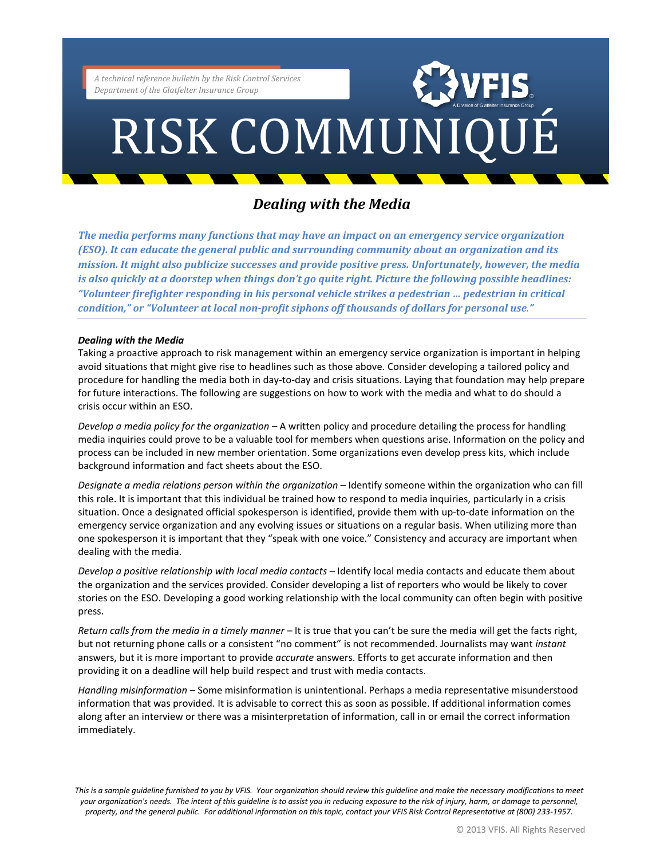*A technical reference bulletin by the Risk Control Services Department of the Glatfelter Insurance Group*

## RISK COMMUNIQUE

## *Dealing with the Media*

*The media performs many functions that may have an impact on an emergency service organization (ESO). It can educate the general public and surrounding community about an organization and its mission. It might also publicize successes and provide positive press. Unfortunately, however, the media is also quickly at a doorstep when things don't go quite right. Picture the following possible headlines: "Volunteer firefighter responding in his personal vehicle strikes a pedestrian … pedestrian in critical condition," or "Volunteer at local non-profit siphons off thousands of dollars for personal use."*

## *Dealing with the Media*

Taking a proactive approach to risk management within an emergency service organization is important in helping avoid situations that might give rise to headlines such as those above. Consider developing a tailored policy and procedure for handling the media both in day-to-day and crisis situations. Laying that foundation may help prepare for future interactions. The following are suggestions on how to work with the media and what to do should a crisis occur within an ESO.

*Develop a media policy for the organization –* A written policy and procedure detailing the process for handling media inquiries could prove to be a valuable tool for members when questions arise. Information on the policy and process can be included in new member orientation. Some organizations even develop press kits, which include background information and fact sheets about the ESO.

*Designate a media relations person within the organization –* Identify someone within the organization who can fill this role. It is important that this individual be trained how to respond to media inquiries, particularly in a crisis situation. Once a designated official spokesperson is identified, provide them with up-to-date information on the emergency service organization and any evolving issues or situations on a regular basis. When utilizing more than one spokesperson it is important that they "speak with one voice." Consistency and accuracy are important when dealing with the media.

*Develop a positive relationship with local media contacts –* Identify local media contacts and educate them about the organization and the services provided. Consider developing a list of reporters who would be likely to cover stories on the ESO. Developing a good working relationship with the local community can often begin with positive press.

*Return calls from the media in a timely manner –* It is true that you can't be sure the media will get the facts right, but not returning phone calls or a consistent "no comment" is not recommended. Journalists may want *instant* answers, but it is more important to provide *accurate* answers. Efforts to get accurate information and then providing it on a deadline will help build respect and trust with media contacts.

*Handling misinformation –* Some misinformation is unintentional. Perhaps a media representative misunderstood information that was provided. It is advisable to correct this as soon as possible. If additional information comes along after an interview or there was a misinterpretation of information, call in or email the correct information immediately.

*This is a sample guideline furnished to you by VFIS. Your organization should review this guideline and make the necessary modifications to meet your organization's needs. The intent of this guideline is to assist you in reducing exposure to the risk of injury, harm, or damage to personnel, property, and the general public. For additional information on this topic, contact your VFIS Risk Control Representative at (800) 233-1957.*